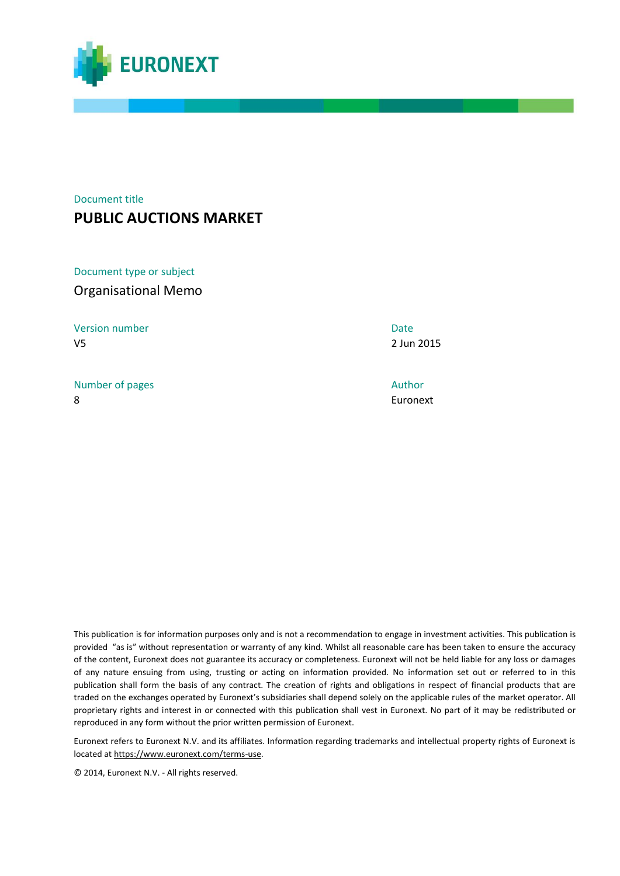

## Document title **PUBLIC AUCTIONS MARKET**

Document type or subject Organisational Memo

Version number Date V5 2 Jun 2015

Number of pages Author Author Author Author Author Author Author Author Author Author Author Author Author Author 8 Euronext

This publication is for information purposes only and is not a recommendation to engage in investment activities. This publication is provided "as is" without representation or warranty of any kind. Whilst all reasonable care has been taken to ensure the accuracy of the content, Euronext does not guarantee its accuracy or completeness. Euronext will not be held liable for any loss or damages of any nature ensuing from using, trusting or acting on information provided. No information set out or referred to in this publication shall form the basis of any contract. The creation of rights and obligations in respect of financial products that are traded on the exchanges operated by Euronext's subsidiaries shall depend solely on the applicable rules of the market operator. All proprietary rights and interest in or connected with this publication shall vest in Euronext. No part of it may be redistributed or reproduced in any form without the prior written permission of Euronext.

Euronext refers to Euronext N.V. and its affiliates. Information regarding trademarks and intellectual property rights of Euronext is located a[t https://www.euronext.com/terms-use.](https://www.euronext.com/terms-use)

© 2014, Euronext N.V. - All rights reserved.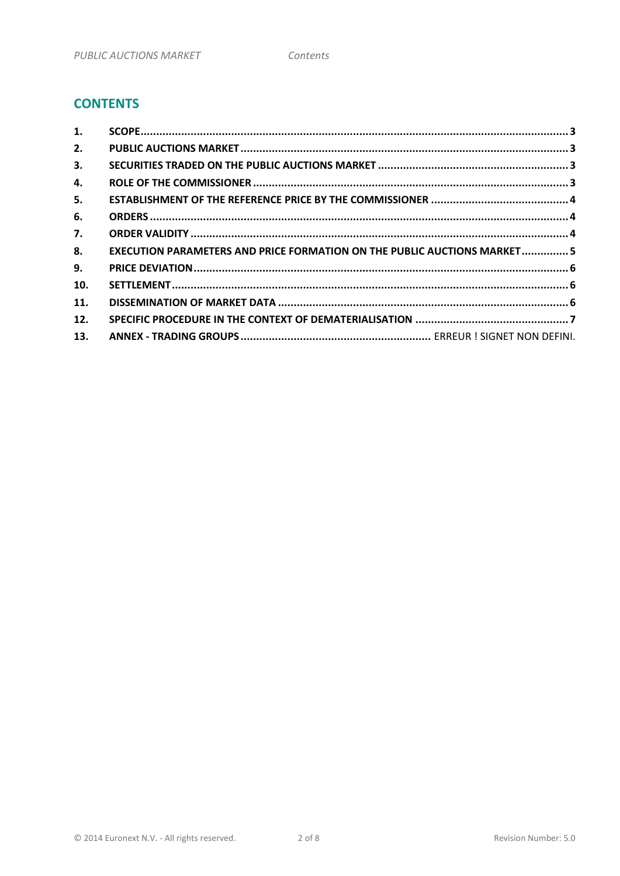## **CONTENTS**

| 1.  |                                                                          |  |
|-----|--------------------------------------------------------------------------|--|
| 2.  |                                                                          |  |
| 3.  |                                                                          |  |
| 4.  |                                                                          |  |
| 5.  |                                                                          |  |
| 6.  |                                                                          |  |
| 7.  |                                                                          |  |
| 8.  | EXECUTION PARAMETERS AND PRICE FORMATION ON THE PUBLIC AUCTIONS MARKET 5 |  |
| 9.  |                                                                          |  |
| 10. |                                                                          |  |
| 11. |                                                                          |  |
| 12. |                                                                          |  |
| 13. |                                                                          |  |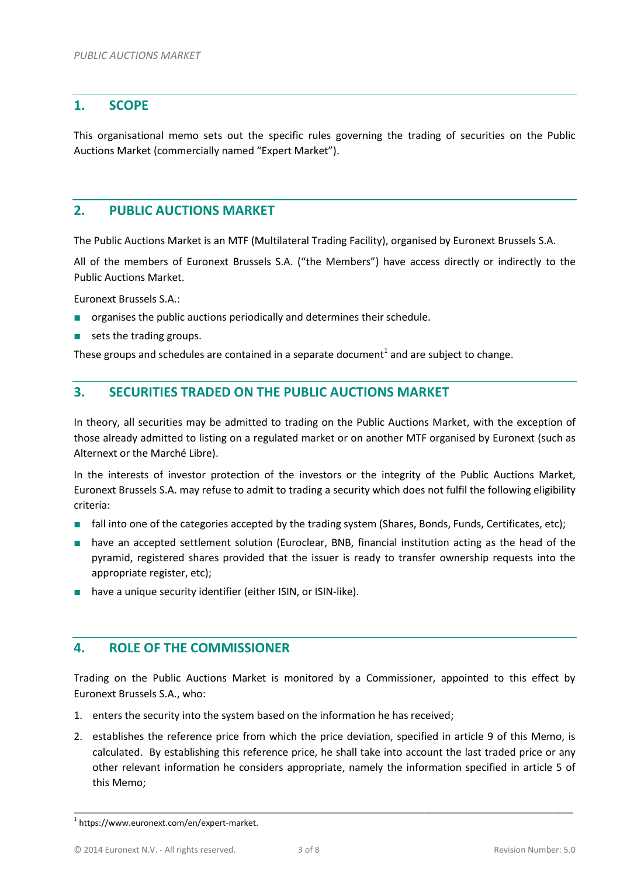#### <span id="page-2-0"></span>**1. SCOPE**

This organisational memo sets out the specific rules governing the trading of securities on the Public Auctions Market (commercially named "Expert Market").

### <span id="page-2-1"></span>**2. PUBLIC AUCTIONS MARKET**

The Public Auctions Market is an MTF (Multilateral Trading Facility), organised by Euronext Brussels S.A.

All of the members of Euronext Brussels S.A. ("the Members") have access directly or indirectly to the Public Auctions Market.

Euronext Brussels S.A.:

- organises the public auctions periodically and determines their schedule.
- sets the trading groups.

These groups and schedules are contained in a separate document<sup>1</sup> and are subject to change.

#### <span id="page-2-2"></span>**3. SECURITIES TRADED ON THE PUBLIC AUCTIONS MARKET**

In theory, all securities may be admitted to trading on the Public Auctions Market, with the exception of those already admitted to listing on a regulated market or on another MTF organised by Euronext (such as Alternext or the Marché Libre).

In the interests of investor protection of the investors or the integrity of the Public Auctions Market, Euronext Brussels S.A. may refuse to admit to trading a security which does not fulfil the following eligibility criteria:

- fall into one of the categories accepted by the trading system (Shares, Bonds, Funds, Certificates, etc);
- have an accepted settlement solution (Euroclear, BNB, financial institution acting as the head of the pyramid, registered shares provided that the issuer is ready to transfer ownership requests into the appropriate register, etc);
- have a unique security identifier (either ISIN, or ISIN-like).

#### <span id="page-2-3"></span>**4. ROLE OF THE COMMISSIONER**

Trading on the Public Auctions Market is monitored by a Commissioner, appointed to this effect by Euronext Brussels S.A., who:

- 1. enters the security into the system based on the information he has received;
- 2. establishes the reference price from which the price deviation, specified in article 9 of this Memo, is calculated. By establishing this reference price, he shall take into account the last traded price or any other relevant information he considers appropriate, namely the information specified in article 5 of this Memo;

\_\_\_\_\_\_\_\_\_\_\_\_\_\_\_\_\_\_\_\_\_\_\_\_\_\_\_\_\_\_\_\_\_\_\_\_\_\_\_\_\_\_\_\_\_\_\_\_\_\_\_\_\_\_\_\_\_\_\_\_\_\_\_\_\_\_\_\_\_\_\_\_\_\_\_\_\_\_\_\_\_\_\_\_\_\_\_\_\_\_\_\_\_\_\_\_\_\_\_\_\_\_\_\_\_\_\_\_\_\_\_\_\_\_\_\_\_\_\_\_\_

<sup>1</sup> https://www.euronext.com/en/expert-market.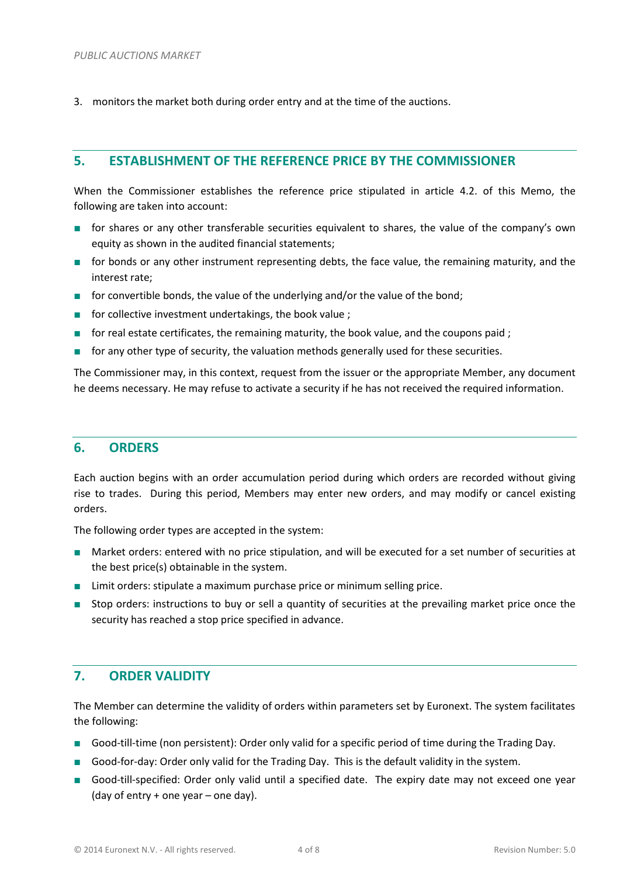3. monitors the market both during order entry and at the time of the auctions.

### <span id="page-3-0"></span>**5. ESTABLISHMENT OF THE REFERENCE PRICE BY THE COMMISSIONER**

When the Commissioner establishes the reference price stipulated in article 4.2. of this Memo, the following are taken into account:

- for shares or any other transferable securities equivalent to shares, the value of the company's own equity as shown in the audited financial statements;
- for bonds or any other instrument representing debts, the face value, the remaining maturity, and the interest rate;
- for convertible bonds, the value of the underlying and/or the value of the bond;
- for collective investment undertakings, the book value ;
- for real estate certificates, the remaining maturity, the book value, and the coupons paid ;
- for any other type of security, the valuation methods generally used for these securities.

The Commissioner may, in this context, request from the issuer or the appropriate Member, any document he deems necessary. He may refuse to activate a security if he has not received the required information.

#### <span id="page-3-1"></span>**6. ORDERS**

Each auction begins with an order accumulation period during which orders are recorded without giving rise to trades. During this period, Members may enter new orders, and may modify or cancel existing orders.

The following order types are accepted in the system:

- Market orders: entered with no price stipulation, and will be executed for a set number of securities at the best price(s) obtainable in the system.
- Limit orders: stipulate a maximum purchase price or minimum selling price.
- Stop orders: instructions to buy or sell a quantity of securities at the prevailing market price once the security has reached a stop price specified in advance.

#### <span id="page-3-2"></span>**7. ORDER VALIDITY**

The Member can determine the validity of orders within parameters set by Euronext. The system facilitates the following:

- Good-till-time (non persistent): Order only valid for a specific period of time during the Trading Day.
- Good-for-day: Order only valid for the Trading Day. This is the default validity in the system.
- Good-till-specified: Order only valid until a specified date. The expiry date may not exceed one year (day of entry + one year – one day).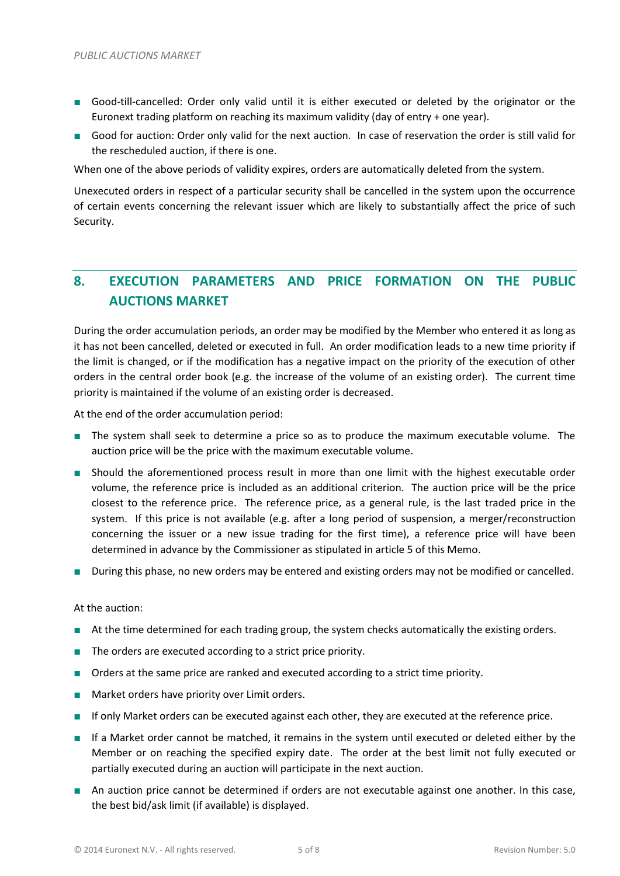- Good-till-cancelled: Order only valid until it is either executed or deleted by the originator or the Euronext trading platform on reaching its maximum validity (day of entry + one year).
- Good for auction: Order only valid for the next auction. In case of reservation the order is still valid for the rescheduled auction, if there is one.

When one of the above periods of validity expires, orders are automatically deleted from the system.

Unexecuted orders in respect of a particular security shall be cancelled in the system upon the occurrence of certain events concerning the relevant issuer which are likely to substantially affect the price of such Security.

# <span id="page-4-0"></span>**8. EXECUTION PARAMETERS AND PRICE FORMATION ON THE PUBLIC AUCTIONS MARKET**

During the order accumulation periods, an order may be modified by the Member who entered it as long as it has not been cancelled, deleted or executed in full. An order modification leads to a new time priority if the limit is changed, or if the modification has a negative impact on the priority of the execution of other orders in the central order book (e.g. the increase of the volume of an existing order). The current time priority is maintained if the volume of an existing order is decreased.

At the end of the order accumulation period:

- The system shall seek to determine a price so as to produce the maximum executable volume. The auction price will be the price with the maximum executable volume.
- Should the aforementioned process result in more than one limit with the highest executable order volume, the reference price is included as an additional criterion. The auction price will be the price closest to the reference price. The reference price, as a general rule, is the last traded price in the system. If this price is not available (e.g. after a long period of suspension, a merger/reconstruction concerning the issuer or a new issue trading for the first time), a reference price will have been determined in advance by the Commissioner as stipulated in article 5 of this Memo.
- During this phase, no new orders may be entered and existing orders may not be modified or cancelled.

#### At the auction:

- At the time determined for each trading group, the system checks automatically the existing orders.
- The orders are executed according to a strict price priority.
- Orders at the same price are ranked and executed according to a strict time priority.
- Market orders have priority over Limit orders.
- If only Market orders can be executed against each other, they are executed at the reference price.
- If a Market order cannot be matched, it remains in the system until executed or deleted either by the Member or on reaching the specified expiry date. The order at the best limit not fully executed or partially executed during an auction will participate in the next auction.
- An auction price cannot be determined if orders are not executable against one another. In this case, the best bid/ask limit (if available) is displayed.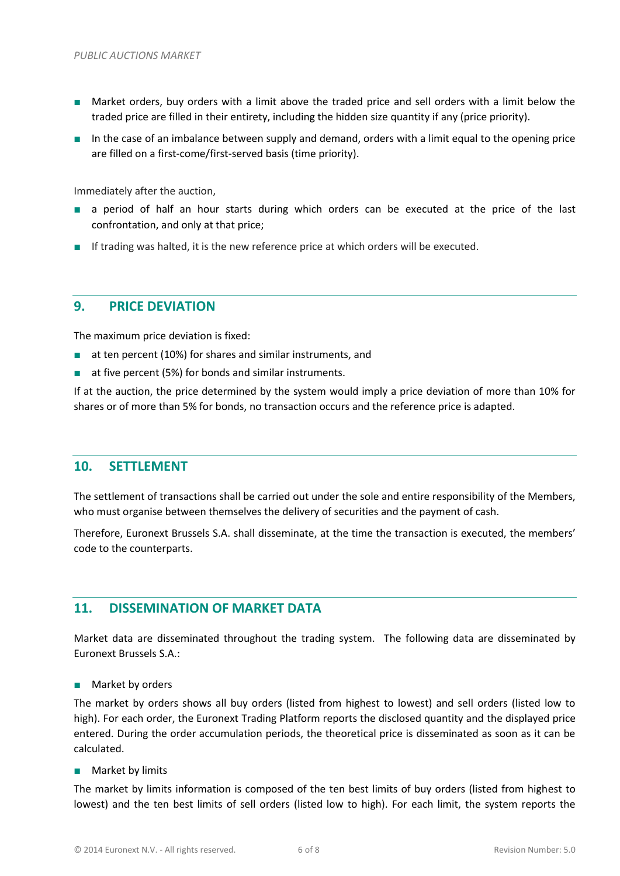- Market orders, buy orders with a limit above the traded price and sell orders with a limit below the traded price are filled in their entirety, including the hidden size quantity if any (price priority).
- In the case of an imbalance between supply and demand, orders with a limit equal to the opening price are filled on a first-come/first-served basis (time priority).

Immediately after the auction,

- a period of half an hour starts during which orders can be executed at the price of the last confrontation, and only at that price;
- If trading was halted, it is the new reference price at which orders will be executed.

#### <span id="page-5-0"></span>**9. PRICE DEVIATION**

The maximum price deviation is fixed:

- at ten percent (10%) for shares and similar instruments, and
- at five percent (5%) for bonds and similar instruments.

If at the auction, the price determined by the system would imply a price deviation of more than 10% for shares or of more than 5% for bonds, no transaction occurs and the reference price is adapted.

#### <span id="page-5-1"></span>**10. SETTLEMENT**

The settlement of transactions shall be carried out under the sole and entire responsibility of the Members, who must organise between themselves the delivery of securities and the payment of cash.

Therefore, Euronext Brussels S.A. shall disseminate, at the time the transaction is executed, the members' code to the counterparts.

#### <span id="page-5-2"></span>**11. DISSEMINATION OF MARKET DATA**

Market data are disseminated throughout the trading system. The following data are disseminated by Euronext Brussels S.A.:

■ Market by orders

The market by orders shows all buy orders (listed from highest to lowest) and sell orders (listed low to high). For each order, the Euronext Trading Platform reports the disclosed quantity and the displayed price entered. During the order accumulation periods, the theoretical price is disseminated as soon as it can be calculated.

#### ■ Market by limits

The market by limits information is composed of the ten best limits of buy orders (listed from highest to lowest) and the ten best limits of sell orders (listed low to high). For each limit, the system reports the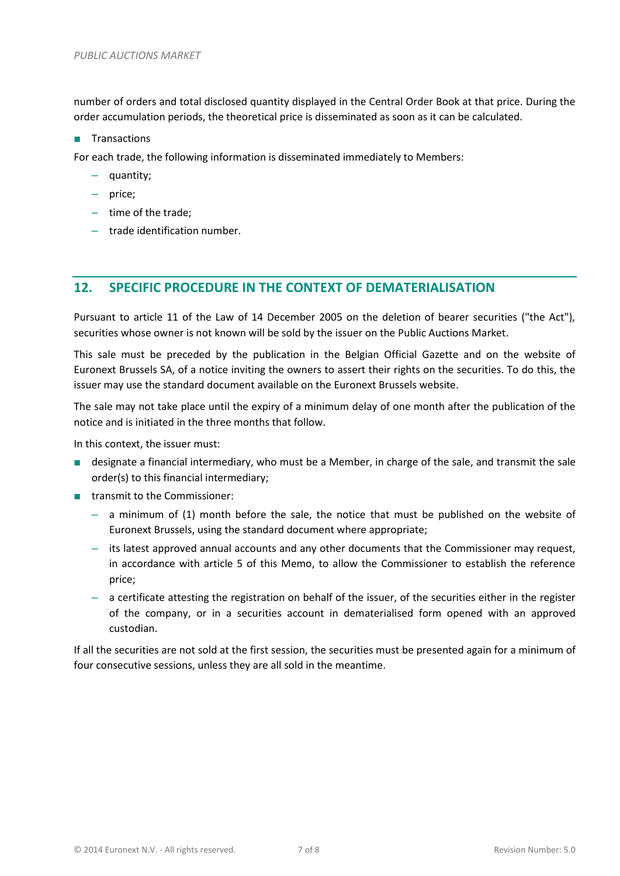number of orders and total disclosed quantity displayed in the Central Order Book at that price. During the order accumulation periods, the theoretical price is disseminated as soon as it can be calculated.

■ Transactions

For each trade, the following information is disseminated immediately to Members:

- quantity;
- price;
- time of the trade;
- trade identification number.

### <span id="page-6-0"></span>**12. SPECIFIC PROCEDURE IN THE CONTEXT OF DEMATERIALISATION**

Pursuant to article 11 of the Law of 14 December 2005 on the deletion of bearer securities ("the Act"), securities whose owner is not known will be sold by the issuer on the Public Auctions Market.

This sale must be preceded by the publication in the Belgian Official Gazette and on the website of Euronext Brussels SA, of a notice inviting the owners to assert their rights on the securities. To do this, the issuer may use the standard document available on the Euronext Brussels website.

The sale may not take place until the expiry of a minimum delay of one month after the publication of the notice and is initiated in the three months that follow.

In this context, the issuer must:

- designate a financial intermediary, who must be a Member, in charge of the sale, and transmit the sale order(s) to this financial intermediary;
- transmit to the Commissioner:
	- a minimum of (1) month before the sale, the notice that must be published on the website of Euronext Brussels, using the standard document where appropriate;
	- its latest approved annual accounts and any other documents that the Commissioner may request, in accordance with article 5 of this Memo, to allow the Commissioner to establish the reference price;
	- a certificate attesting the registration on behalf of the issuer, of the securities either in the register of the company, or in a securities account in dematerialised form opened with an approved custodian.

If all the securities are not sold at the first session, the securities must be presented again for a minimum of four consecutive sessions, unless they are all sold in the meantime.